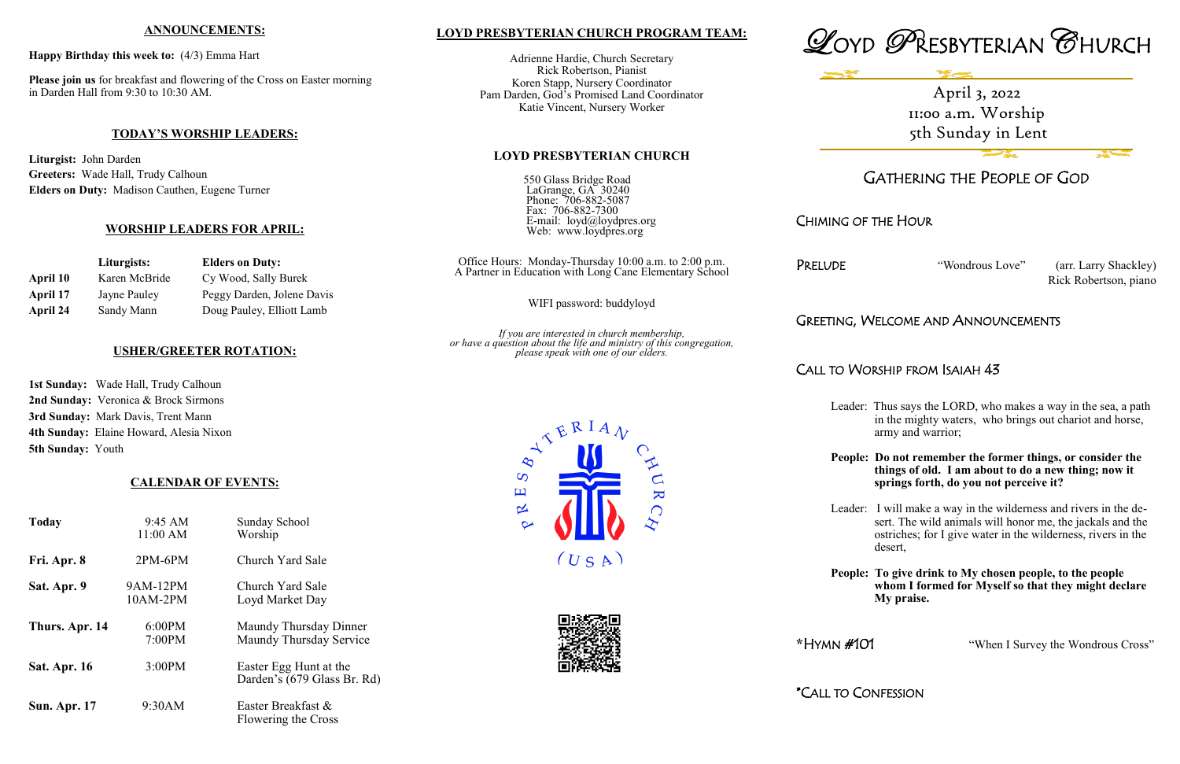# **LOYD PRESBYTERIAN CHURCH PROGRAM TEAM:**

Adrienne Hardie, Church Secretary Rick Robertson, Pianist Koren Stapp, Nursery Coordinator Pam Darden, God's Promised Land Coordinator Katie Vincent, Nursery Worker

#### **LOYD PRESBYTERIAN CHURCH**

| 550 Glass Bridge Road     |
|---------------------------|
| LaGrange, GA 30240        |
| Phone: 706-882-5087       |
| Fax: 706-882-7300         |
| E-mail: loyd@loydpres.org |
| Web: www.loydpres.org     |

PRELUDE "Wondrous Love" (arr. Larry Shackley) Rick Robertson, piano

Office Hours: Monday-Thursday 10:00 a.m. to 2:00 p.m. A Partner in Education with Long Cane Elementary School

WIFI password: buddyloyd

*If you are interested in church membership, or have a question about the life and ministry of this congregation, please speak with one of our elders.*





# GATHERING THE PEOPLE OF GOD

# CHIMING OF THE HOUR

# GREETING, WELCOME AND ANNOUNCEMENTS

# CALL TO WORSHIP FROM ISAIAH 43

- Leader: Thus says the LORD, who makes a way in the sea, a path in the mighty waters, who brings out chariot and horse, army and warrior;
- **People: Do not remember the former things, or consider the things of old. I am about to do a new thing; now it springs forth, do you not perceive it?**

Leader: I will make a way in the wilderness and rivers in the de sert. The wild animals will honor me, the jackals and the ostriches; for I give water in the wilderness, rivers in the desert,

**People: To give drink to My chosen people, to the people whom I formed for Myself so that they might declare My praise.**

**\***HYMN #101 "When I Survey the Wondrous Cross"

\*CALL TO CONFESSION





### **ANNOUNCEMENTS:**

**Happy Birthday this week to:** (4/3) Emma Hart

**Please join us** for breakfast and flowering of the Cross on Easter morning in Darden Hall from 9:30 to 10:30 AM.

### **TODAY'S WORSHIP LEADERS:**

**Liturgist:** John Darden **Greeters:** Wade Hall, Trudy Calhoun **Elders on Duty:** Madison Cauthen, Eugene Turner

### **WORSHIP LEADERS FOR APRIL:**

|          | Liturgists:   | <b>Elders on Duty:</b>     |
|----------|---------------|----------------------------|
| April 10 | Karen McBride | Cy Wood, Sally Burek       |
| April 17 | Jayne Pauley  | Peggy Darden, Jolene Davis |
| April 24 | Sandy Mann    | Doug Pauley, Elliott Lamb  |

### **USHER/GREETER ROTATION:**

**1st Sunday:** Wade Hall, Trudy Calhoun **2nd Sunday:** Veronica & Brock Sirmons **3rd Sunday:** Mark Davis, Trent Mann **4th Sunday:** Elaine Howard, Alesia Nixon **5th Sunday:** Youth

### **CALENDAR OF EVENTS:**

| <b>Today</b>        | $9:45 \text{ AM}$<br>11:00 AM | Sunday School<br>Worship                              |
|---------------------|-------------------------------|-------------------------------------------------------|
| Fri. Apr. 8         | $2PM-6PM$                     | Church Yard Sale                                      |
| Sat. Apr. 9         | 9AM-12PM<br>$10AM-2PM$        | Church Yard Sale<br>Loyd Market Day                   |
| Thurs. Apr. 14      | 6:00PM<br>7:00PM              | Maundy Thursday Dinner<br>Maundy Thursday Service     |
| Sat. Apr. 16        | 3:00PM                        | Easter Egg Hunt at the<br>Darden's (679 Glass Br. Rd) |
| <b>Sun. Apr. 17</b> | 9:30AM                        | Easter Breakfast &<br>Flowering the Cross             |

April 3, 2022 11:00 a.m. Worship 5th Sunday in Lent